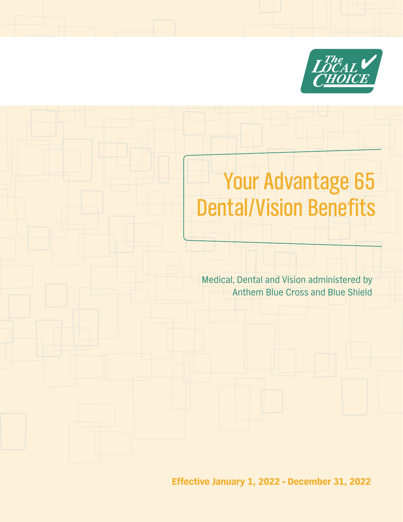

# Your Advantage 65 Dental/Vision Benefits

Medical, Dental and Vision administered by Anthem Blue Cross and Blue Shield

Effective January 1, 2022 - December 31, 2022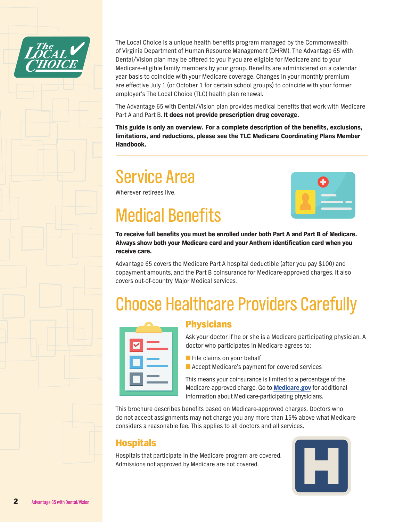

The Local Choice is a unique health benefits program managed by the Commonwealth of Virginia Department of Human Resource Management (DHRM). The Advantage 65 with Dental/Vision plan may be offered to you if you are eligible for Medicare and to your Medicare-eligible family members by your group. Benefits are administered on a calendar year basis to coincide with your Medicare coverage. Changes in your monthly premium are effective July 1 (or October 1 for certain school groups) to coincide with your former employer's The Local Choice (TLC) health plan renewal.

The Advantage 65 with Dental/Vision plan provides medical benefits that work with Medicare Part A and Part B. It does not provide prescription drug coverage.

This guide is only an overview. For a complete description of the benefits, exclusions, limitations, and reductions, please see the TLC Medicare Coordinating Plans Member Handbook.

## Service Area

Wherever retirees live.

## Medical Benefits



To receive full benefits you must be enrolled under both Part A and Part B of Medicare. Always show both your Medicare card and your Anthem identification card when you receive care.

Advantage 65 covers the Medicare Part A hospital deductible (after you pay \$100) and copayment amounts, and the Part B coinsurance for Medicare-approved charges. It also covers out-of-country Major Medical services.

## Choose Healthcare Providers Carefully



### **Physicians**

Ask your doctor if he or she is a Medicare participating physician. A doctor who participates in Medicare agrees to:

- $\blacksquare$  File claims on your behalf
- $\blacksquare$  Accept Medicare's payment for covered services

This means your coinsurance is limited to a percentage of the Medicare-approved charge. Go to **[Medicare.gov](http://www.Medicare.gov)** for additional information about Medicare-participating physicians.

This brochure describes benefits based on Medicare-approved charges. Doctors who do not accept assignments may not charge you any more than 15% above what Medicare considers a reasonable fee. This applies to all doctors and all services.

### Hospitals

Hospitals that participate in the Medicare program are covered. Admissions not approved by Medicare are not covered.

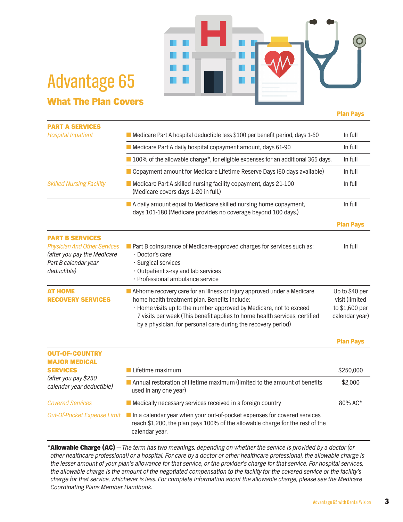

## Advantage 65

### What The Plan Covers

Plan Pays

| <b>PART A SERVICES</b>                                                                                    |                                                                                                                                                                                                                                                                                                                                                |                                                                      |
|-----------------------------------------------------------------------------------------------------------|------------------------------------------------------------------------------------------------------------------------------------------------------------------------------------------------------------------------------------------------------------------------------------------------------------------------------------------------|----------------------------------------------------------------------|
| <b>Hospital Inpatient</b>                                                                                 | Medicare Part A hospital deductible less \$100 per benefit period, days 1-60                                                                                                                                                                                                                                                                   | In full                                                              |
|                                                                                                           | Medicare Part A daily hospital copayment amount, days 61-90                                                                                                                                                                                                                                                                                    | In full                                                              |
|                                                                                                           | 100% of the allowable charge*, for eligible expenses for an additional 365 days.                                                                                                                                                                                                                                                               | In full                                                              |
|                                                                                                           | Copayment amount for Medicare Lifetime Reserve Days (60 days available)                                                                                                                                                                                                                                                                        | In full                                                              |
| <b>Skilled Nursing Facility</b>                                                                           | Medicare Part A skilled nursing facility copayment, days 21-100<br>(Medicare covers days 1-20 in full.)                                                                                                                                                                                                                                        | In full                                                              |
|                                                                                                           | A daily amount equal to Medicare skilled nursing home copayment,<br>days 101-180 (Medicare provides no coverage beyond 100 days.)                                                                                                                                                                                                              | In full                                                              |
|                                                                                                           |                                                                                                                                                                                                                                                                                                                                                | <b>Plan Pays</b>                                                     |
| <b>PART B SERVICES</b>                                                                                    |                                                                                                                                                                                                                                                                                                                                                |                                                                      |
| <b>Physician And Other Services</b><br>(after you pay the Medicare<br>Part B calendar year<br>deductible) | Part B coinsurance of Medicare-approved charges for services such as:<br>· Doctor's care<br>· Surgical services<br>Outpatient x-ray and lab services<br>· Professional ambulance service                                                                                                                                                       | In full                                                              |
| <b>AT HOME</b><br><b>RECOVERY SERVICES</b>                                                                | At-home recovery care for an illness or injury approved under a Medicare<br>home health treatment plan. Benefits include:<br>· Home visits up to the number approved by Medicare, not to exceed<br>7 visits per week (This benefit applies to home health services, certified<br>by a physician, for personal care during the recovery period) | Up to \$40 per<br>visit (limited<br>to \$1,600 per<br>calendar year) |
|                                                                                                           |                                                                                                                                                                                                                                                                                                                                                | <b>Plan Pays</b>                                                     |
| <b>OUT-OF-COUNTRY</b><br><b>MAJOR MEDICAL</b><br><b>SERVICES</b>                                          | Lifetime maximum                                                                                                                                                                                                                                                                                                                               | \$250,000                                                            |
| (after you pay \$250                                                                                      |                                                                                                                                                                                                                                                                                                                                                |                                                                      |
| calendar year deductible)                                                                                 | Annual restoration of lifetime maximum (limited to the amount of benefits<br>used in any one year)                                                                                                                                                                                                                                             | \$2,000                                                              |
| <b>Covered Services</b>                                                                                   | Medically necessary services received in a foreign country                                                                                                                                                                                                                                                                                     | 80% AC*                                                              |
| Out-Of-Pocket Expense Limit                                                                               | In a calendar year when your out-of-pocket expenses for covered services<br>reach \$1,200, the plan pays 100% of the allowable charge for the rest of the<br>calendar year.                                                                                                                                                                    |                                                                      |

*\**Allowable Charge (AC) *— The term has two meanings, depending on whether the service is provided by a doctor (or other healthcare professional) or a hospital. For care by a doctor or other healthcare professional, the allowable charge is the lesser amount of your plan's allowance for that service, or the provider's charge for that service. For hospital services, the allowable charge is the amount of the negotiated compensation to the facility for the covered service or the facility's charge for that service, whichever is less. For complete information about the allowable charge, please see the Medicare Coordinating Plans Member Handbook.*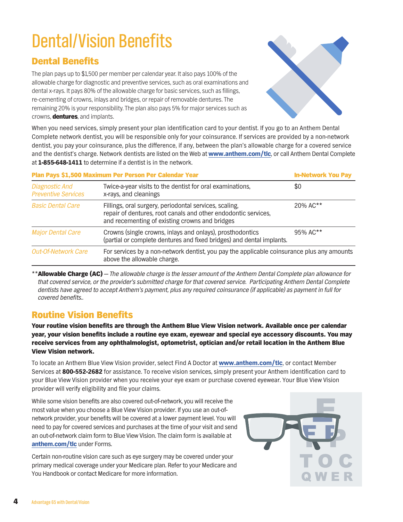## Dental/Vision Benefits

### Dental Benefits

The plan pays up to \$1,500 per member per calendar year. It also pays 100% of the allowable charge for diagnostic and preventive services, such as oral examinations and dental x-rays. It pays 80% of the allowable charge for basic services, such as fillings, re-cementing of crowns, inlays and bridges, or repair of removable dentures. The remaining 20% is your responsibility. The plan also pays 5% for major services such as crowns, **dentures**, and implants.



When you need services, simply present your plan identification card to your dentist. If you go to an Anthem Dental Complete network dentist, you will be responsible only for your coinsurance. If services are provided by a non-network dentist, you pay your coinsurance, plus the difference, if any, between the plan's allowable charge for a covered service and the dentist's charge. Network dentists are listed on the Web at [www.anthem.com/tlc](http://www.anthem.com/tlc), or call Anthem Dental Complete at 1-855-648-1411 to determine if a dentist is in the network.

| Plan Pays \$1,500 Maximum Per Person Per Calendar Year<br><b>In-Network You Pay</b> |                                                                                                                                                                            |             |
|-------------------------------------------------------------------------------------|----------------------------------------------------------------------------------------------------------------------------------------------------------------------------|-------------|
| <b>Diagnostic And</b><br><b>Preventive Services</b>                                 | Twice-a-year visits to the dentist for oral examinations,<br>x-rays, and cleanings                                                                                         | \$0         |
| <b>Basic Dental Care</b>                                                            | Fillings, oral surgery, periodontal services, scaling,<br>repair of dentures, root canals and other endodontic services,<br>and recementing of existing crowns and bridges | $20\%$ AC** |
| <b>Major Dental Care</b>                                                            | Crowns (single crowns, inlays and onlays), prosthodontics<br>(partial or complete dentures and fixed bridges) and dental implants.                                         | $95\%$ AC** |
| <b>Out-Of-Network Care</b>                                                          | For services by a non-network dentist, you pay the applicable coinsurance plus any amounts<br>above the allowable charge.                                                  |             |

*\*\**Allowable Charge (AC) *— The allowable charge is the lesser amount of the Anthem Dental Complete plan allowance for that covered service, or the provider's submitted charge for that covered service. Participating Anthem Dental Complete dentists have agreed to accept Anthem's payment, plus any required coinsurance (if applicable) as payment in full for covered benefits..*

### Routine Vision Benefits

Your routine vision benefits are through the Anthem Blue View Vision network. Available once per calendar year, your vision benefits include a routine eye exam, eyewear and special eye accessory discounts. You may receive services from any ophthalmologist, optometrist, optician and/or retail location in the Anthem Blue View Vision network.

To locate an Anthem Blue View Vision provider, select Find A Doctor at [www.anthem.com/tlc](http://www.anthem.com/tlc), or contact Member Services at 800-552-2682 for assistance. To receive vision services, simply present your Anthem identification card to your Blue View Vision provider when you receive your eye exam or purchase covered eyewear. Your Blue View Vision provider will verify eligibility and file your claims.

While some vision benefits are also covered out-of-network, you will receive the most value when you choose a Blue View Vision provider. If you use an out-ofnetwork provider, your benefits will be covered at a lower payment level. You will need to pay for covered services and purchases at the time of your visit and send an out-of-network claim form to Blue View Vision. The claim form is available at [anthem.com/tlc](http://www.anthem.com/tlc) under Forms.

Certain non-routine vision care such as eye surgery may be covered under your primary medical coverage under your Medicare plan. Refer to your Medicare and You Handbook or contact Medicare for more information.

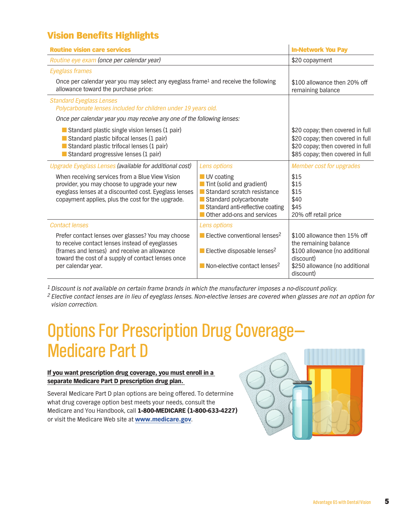### Vision Benefits Highlights

| <b>Routine vision care services</b>                                                                                                                                                                                               | <b>In-Network You Pay</b>                                                                                                                                          |                                                                                                                                                     |
|-----------------------------------------------------------------------------------------------------------------------------------------------------------------------------------------------------------------------------------|--------------------------------------------------------------------------------------------------------------------------------------------------------------------|-----------------------------------------------------------------------------------------------------------------------------------------------------|
| Routine eye exam (once per calendar year)                                                                                                                                                                                         | \$20 copayment                                                                                                                                                     |                                                                                                                                                     |
| <b>Eyeglass frames</b>                                                                                                                                                                                                            |                                                                                                                                                                    |                                                                                                                                                     |
| Once per calendar year you may select any eyeglass frame <sup>1</sup> and receive the following<br>allowance toward the purchase price:                                                                                           | \$100 allowance then 20% off<br>remaining balance                                                                                                                  |                                                                                                                                                     |
| <b>Standard Eyeglass Lenses</b><br>Polycarbonate lenses included for children under 19 years old.                                                                                                                                 |                                                                                                                                                                    |                                                                                                                                                     |
| Once per calendar year you may receive any one of the following lenses:                                                                                                                                                           |                                                                                                                                                                    |                                                                                                                                                     |
| Standard plastic single vision lenses (1 pair)<br>Standard plastic bifocal lenses (1 pair)<br>Standard plastic trifocal lenses (1 pair)<br>Standard progressive lenses (1 pair)                                                   | \$20 copay; then covered in full<br>\$20 copay; then covered in full<br>\$20 copay; then covered in full<br>\$85 copay; then covered in full                       |                                                                                                                                                     |
| Upgrade Eyeglass Lenses (available for additional cost)                                                                                                                                                                           | Lens options                                                                                                                                                       | Member cost for upgrades                                                                                                                            |
| When receiving services from a Blue View Vision<br>provider, you may choose to upgrade your new<br>eyeglass lenses at a discounted cost. Eyeglass lenses<br>copayment applies, plus the cost for the upgrade.                     | UV coating<br>Tint (solid and gradient)<br>Standard scratch resistance<br>Standard polycarbonate<br>Standard anti-reflective coating<br>Other add-ons and services | \$15<br>\$15<br>\$15<br>\$40<br>\$45<br>20% off retail price                                                                                        |
| <b>Contact lenses</b>                                                                                                                                                                                                             | Lens options                                                                                                                                                       |                                                                                                                                                     |
| Prefer contact lenses over glasses? You may choose<br>to receive contact lenses instead of eyeglasses<br>(frames and lenses) and receive an allowance<br>toward the cost of a supply of contact lenses once<br>per calendar year. | Elective conventional lenses <sup>2</sup><br>Elective disposable lenses <sup>2</sup><br>Non-elective contact lenses <sup>2</sup>                                   | \$100 allowance then 15% off<br>the remaining balance<br>\$100 allowance (no additional<br>discount)<br>\$250 allowance (no additional<br>discount) |

*1 Discount is not available on certain frame brands in which the manufacturer imposes a no-discount policy.*

*2 Elective contact lenses are in lieu of eyeglass lenses. Non-elective lenses are covered when glasses are not an option for vision correction.*

## Options For Prescription Drug Coverage— Medicare Part D

#### If you want prescription drug coverage, you must enroll in a separate Medicare Part D prescription drug plan.

Several Medicare Part D plan options are being offered. To determine what drug coverage option best meets your needs, consult the Medicare and You Handbook, call 1-800-MEDICARE (1-800-633-4227) or visit the Medicare Web site at [www.medicare.gov](http://www.medicare.gov).

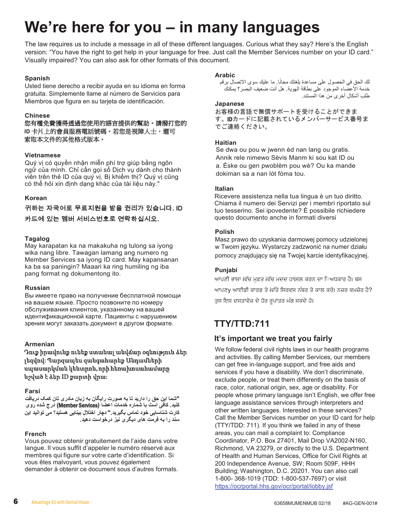## **We're here for you – in many languages We're here for you – in many languages We're here for you – in many languages**

The law requires us to include a message in all of these different languages. Curious what they say? Here's the English version: "You have the right to get help in your language for free. Just call the Member Services number on your ID card." Visually impaired? You can also ask for other formats of this document. Visually impaired? You can also ask for other formats of this document.

#### **Spanish Spanish**

Usted tiene derecho a recibir ayuda en su idioma en forma Usted tiene derecho a recibir ayuda en su idioma en forma gratuita. Simplemente llame al número de Servicios para gratuita. Simplemente llame al número de Servicios para Miembros que figura en su tarjeta de identificación. Miembros que figura en su tarjeta de identificación.

#### **Chinese Chinese**

#### 您有權免費獲得透過您使用的語言提供的幫助。請撥打您的 **ID** 卡片上的會員服務電話號碼。若您是視障人士,還可 索取本文件的其他格式版本。

#### **Vietnamese Vietnamese**

Quý vị có quyền nhận miễn phí trợ giúp bằng ngôn Quý vị có quyền nhận miễn phí trợ giúp bằng ngôn ngữ của mình. Chỉ cần gọi số Dịch vụ dành cho thành ngữ của mình. Chỉ cần gọi số Dịch vụ dành cho thành viên trên thẻ ID của quý vị. Bị khiếm thị? Quý vị cũng viên trên thẻ ID của quý vị. Bị khiếm thị? Quý vị cũng có thể hỏi xin định dạng khác của tài liệu này." có thể hỏi xin định dạng khác của tài liệu này."

#### **Korean Korean**

### 귀하는 자국어로 무료지원을 받을 권리가 있습니다. ID 카드에 있는 멤버 서비스번호로 연락하십시오.

#### **Tagalog Tagalog**

May karapatan ka na makakuha ng tulong sa iyong May karapatan ka na makakuha ng tulong sa iyong wika nang libre. Tawagan lamang ang numero ng wika nang libre. Tawagan lamang ang numero ng Member Services sa iyong ID card. May kapansanan Member Services sa iyong ID card. May kapansanan ka ba sa paningin? Maaari ka ring humiling ng iba ka ba sa paningin? Maaari ka ring humiling ng iba pang format ng dokumentong ito. pang format ng dokumentong ito.

#### **Russian Russian**

Вы имеете право на получение бесплатной помощи Вы имеете право на получение бесплатной помощи на вашем языке. Просто позвоните по номеру на вашем языке. Просто позвоните по номеру обслуживания клиентов, указанному на вашей обслуживания клиентов, указанному на вашей идентификационной карте. Пациенты с нарушением идентификационной карте. Пациенты с нарушением зрения могут заказать документ в другом формате. зрения могут заказать документ в другом формате.

#### **Armenian Armenian**

#### Դուք իրավունք ունեք ստանալ անվճար օգնություն ձեր Դուք իրավունք ունեք ստանալ անվճար օգնություն ձեր լեզվով: Պարզապես զանգահարեք Անդամների լեզվով: Պարզապես զանգահարեք Անդամների սպասարկման կենտրոն, որի հեռախոսահամարը սպասարկման կենտրոն, որի հեռախոսահամարը նշված է ձեր ID քարտի վրա: նշված է ձեր ID քարտի վրա:

#### **Farsi**

"شما این حق را دارید تا به صورت رایگان به زبان مادری تان کمک دریافت کنید کافی است با شماره خدمات اعضا (Member Services) درج شده روی کارت شناسایی خود تماس بگیرید." دچار اختلال بینایی هستید؟ می توانید این **سند را به فرمت های ديگری نيز درخواست دهيد. سند را به فرمت های ديگری نيز درخواست دهيد. Farsi**

#### **French French**

Vous pouvez obtenir gratuitement de l'aide dans votre Vous pouvez obtenir gratuitement de l'aide dans votre langue. Il vous suffit d'appeler le numéro réservé aux langue. Il vous suffit d'appeler le numéro réservé aux membres qui figure sur votre carte d'identification. Si membres qui figure sur votre carte d'identification. Si vous êtes malvoyant, vous pouvez également vous êtes malvoyant, vous pouvez également demander à obtenir ce document sous d'autres formats. demander à obtenir ce document sous d'autres formats.

#### **Arabic Arabic**

ن الحق في الحصول على مساعدة بلغتك مجانًا<sub>.</sub> ما عليك سوى الاتصال برقم خدمة الأعضاء الموجود على بطاقة الهوية. هل أنت ضعيف البصر؟ يمكنك Usted tiene derecho a recibir ayuda en su idioma en forma خدمة الأعضاء الموجود على بطاقة الهوية. هل أنت ضعيف البصر؟ يمكنك طلب أشكال أخرى من هذا المستند. gratuita. Simplemente llame al número de Servicios para طلب أشكال أخرىمن هذا المستند.

#### **Japanese Japanese**

お客様の言語で無償サポートを受けることができま ࡲྕDC2ࢫࣅ࣮ࢧ࣮ࣂ࣓ࣥࡿ࠸࡚ࢀࡉグ㍕ࢻ࣮࢝IDࠋࡍ **Chinese** でご連絡ください。 ֦ Dカードに記載されているメンバーサービス番号ま<br>#∞

#### **Haitian Haitian**

Se dwa ou pou w jwenn èd nan lang ou gratis. Se dwa ou pou w jwenn èd nan lang ou gratis. Annik rele nimewo Sèvis Manm ki sou kat ID ou **Vietnamese** Annik rele nimewo Sèvis Manm ki sou kat ID ou a. Èske ou gen pwoblèm pou wè? Ou ka mande dokiman sa a nan lòt fòma tou. dokiman sa a nan lòt fòma tou. ke ou gen pwoblèm pou wè? Ou ka mande<br>nan ca a nan lèt fème tou.  $\mathbf u$  trên thề ID của quy vị cũng vị cũng vị $\mathbf u$ 

#### **Italian Italian**

Ricevere assistenza nella tua lingua è un tuo diritto. **Korean** Ricevere assistenza nella tua lingua è un tuo diritto. Chiama il numero dei Servizi per i membri riportato sul Chiama il numero dei Servizi per i membri riportato sul → humana mantere del certamente per contrare ripertate cui questo documento anche in formati diversi

#### **Polish Polish**

Masz prawo do uzyskania darmowej pomocy udzielonej **Tagalog** Masz prawo do uzyskania darmowej pomocy udzielonej w Twoim języku. Wystarczy zadzwonić na numer działu May karapatan ka na makakuha ng tulong sa iyong w Twoim języku. Wystarczy zadzwonić na numer działu pomocy znajdujący się na Twojej karcie identyfikacyjnej. cy znajdujący się na Twojej karcie identyfikacyjnej.

#### **Punjabi Punjabi**

ਆਪਣੀ ਭਾਸ਼ਾ iਵੱਚ ਮੁਫ਼ਤ iਵੱਚ ਮਦਦ ਹਾiਸਲ ਕਰਨ ਦਾ ਿਅਧਕਾਰ ਹੈ। ਬਸ ਆਪਣy ਆਈਡੀ ਕਾਰਡ ਤੇ iਦੱਤੇ ਸਿਰਵਸ ਨੰਬਰ ਤੇ ਕਾਲ ਕਰੋ। ਨਜ਼ਰ ਕਮਜ਼ੋਰ ਹੈ? ਤੁਸ ਇਸ ਦਸਤਾਵੇਜ਼ ਦੇ ਹੋਰ ਰੂਪਾਂਤਰ ਮੰਗ ਸਕਦੇ ਹੋ। pang format ng dokumentong ito. ٦ Вы имеете право на получение бесплатной помощи ਂ ਭਾਸ਼ਾ iਵੱਚ ਮੁਫ਼ਤ iਵੱਚ ਮਦਦ ਹਾiਸਲ ਕਰਨ ਦਾ ਿਅਧਕਾਰ ਹੈ। ਬਸ

### **TTY/TTD:711 TTY/TTD:711**

#### **It's important we treat you fairly It's important we treat you fairly**

We follow federal civil rights laws in our health programs **Armenian** and activities. By calling Member Services, our members<br>see act free in Janguese surrent, and free side and can get free in-language support, and free aids and can get free in-language support, and free aids and services if you have a disability. We don't discriminate, սպասարկման կենտրոն, որի հեռախոսահամարը services if you have a disability. We don't discriminate, exclude people, or treat them differently on the basis of race, color, national origin, sex, age or disability. For race, color, national origin, sex, age or disability. For people whose primary language isn't English, we offer free **Farsi** people whose primary language isn't English, we offer free language assistance services through interpreters and other written languages. Interested in these services?<br>C. William Company Company Company Company Company Company Company Company Company Company Company Company Com Call the Member Services number on your ID card for help **سند را به فرمت های ديگری نيز درخواست دهيد.** Call the Member Services number on your ID card for help (TTY/TDD: 711). If you think we failed in any of these (TTY/TDD: 711). If you think we failed in any of these areas, you can mail a complaint to: Compliance **French** areas, you can mail a complaint to: Compliance Coordinator, P.O. Box 27401, Mail Drop VA2002-N160, Richmond, VA 23279, or directly to the U.S. Department of Health and Human Services, Office for Civil Rights at 200 Independence Avenue, SW; Room 509F, HHH Building; Washington, D.C. 20201. You can also call 1-800- 368-1019 (TDD: 1-800-537-7697) or visit 1-800- 368-1019 (TDD: 1-800-537-7697) or visit https://ocrportal.hhs.gov/ocr/portal/lobby.jsf https://ocrportal.hhs.gov/ocr/portal/lobby.jsfԴուք իրավունք ունեք ստանալ անվճար օգնություն ձեր We follow federal civil rights laws in our health programs **کنيد. کافی است با شماره خدمات اعضا (**Services Member **(درج شده روی** language assistance services through interpreters and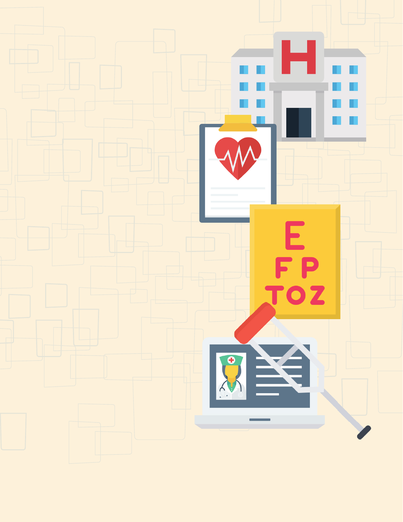